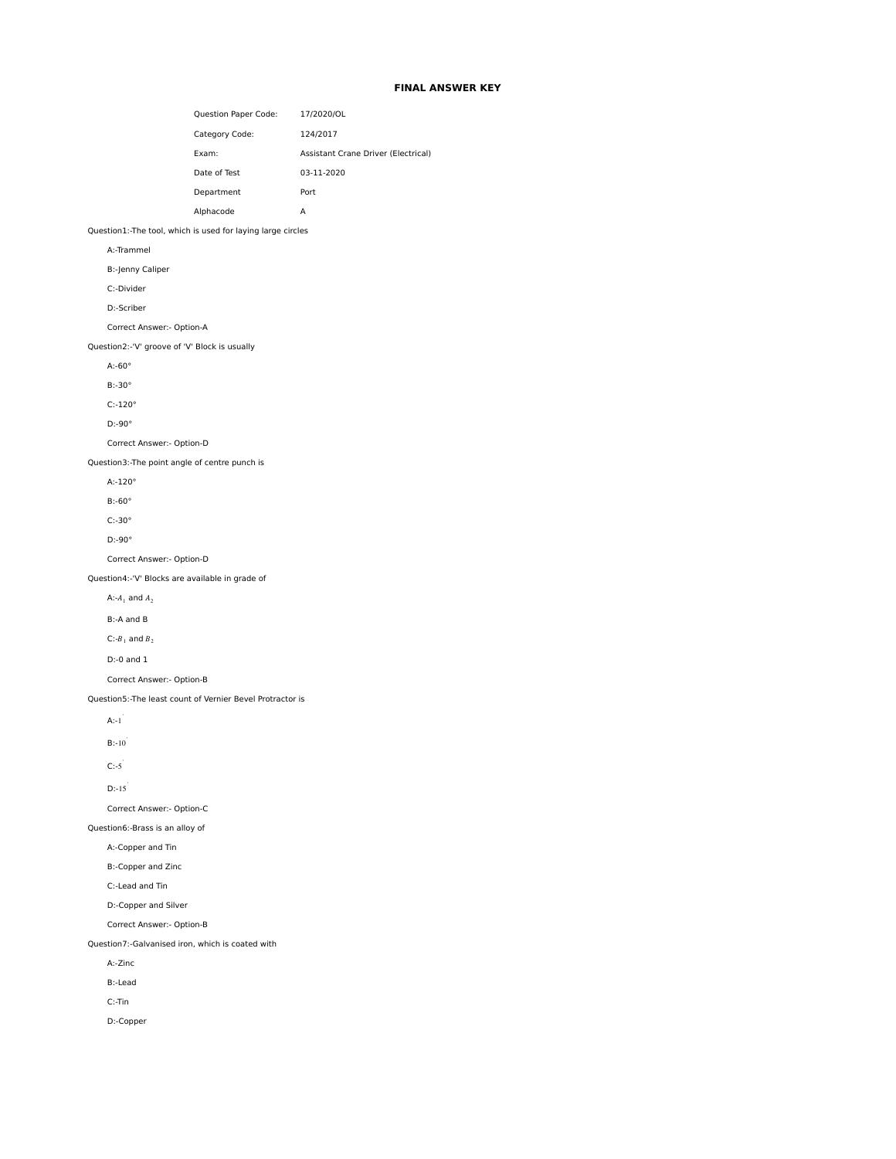# **FINAL ANSWER KEY**

|                                                             |                           | Question Paper Code: | 17/2020/OL                          |
|-------------------------------------------------------------|---------------------------|----------------------|-------------------------------------|
|                                                             |                           | Category Code:       | 124/2017                            |
|                                                             |                           | Exam:                | Assistant Crane Driver (Electrical) |
|                                                             |                           | Date of Test         | 03-11-2020                          |
|                                                             |                           | Department           | Port                                |
|                                                             |                           | Alphacode            | А                                   |
| Question1:-The tool, which is used for laying large circles |                           |                      |                                     |
| A:-Trammel                                                  |                           |                      |                                     |
|                                                             | B:-Jenny Caliper          |                      |                                     |
|                                                             | C:-Divider                |                      |                                     |
|                                                             | D:-Scriber                |                      |                                     |
|                                                             | Correct Answer:- Option-A |                      |                                     |
| Question2:-'V' groove of 'V' Block is usually               |                           |                      |                                     |
| $A: -60^\circ$                                              |                           |                      |                                     |
|                                                             | $B:-30°$                  |                      |                                     |
|                                                             | $C: -120^\circ$           |                      |                                     |
|                                                             | $D: -90^\circ$            |                      |                                     |
| Correct Answer:- Option-D                                   |                           |                      |                                     |
| Question3:-The point angle of centre punch is               |                           |                      |                                     |
| $A: -120^\circ$                                             |                           |                      |                                     |
|                                                             | $B: -60^\circ$            |                      |                                     |
|                                                             | $C: -30°$                 |                      |                                     |
|                                                             | $D: -90^\circ$            |                      |                                     |
|                                                             | Correct Answer:- Option-D |                      |                                     |
| Question4:-'V' Blocks are available in grade of             |                           |                      |                                     |
| A:- $A_1$ and $A_2$                                         |                           |                      |                                     |
|                                                             | B:-A and B                |                      |                                     |
|                                                             | C:- $B_1$ and $B_2$       |                      |                                     |
|                                                             | $D: 0$ and $1$            |                      |                                     |
|                                                             | Correct Answer:- Option-B |                      |                                     |
| Question5:-The least count of Vernier Bevel Protractor is   |                           |                      |                                     |
| $A:-1$                                                      |                           |                      |                                     |
|                                                             | $B: -10$                  |                      |                                     |
|                                                             |                           |                      |                                     |
|                                                             | $C:-5^{'}$                |                      |                                     |
|                                                             | $D: -15$                  |                      |                                     |
|                                                             | Correct Answer:- Option-C |                      |                                     |
| Question6:-Brass is an alloy of                             |                           |                      |                                     |
|                                                             | A:-Copper and Tin         |                      |                                     |
|                                                             | B:-Copper and Zinc        |                      |                                     |
|                                                             | C:-Lead and Tin           |                      |                                     |
|                                                             | D:-Copper and Silver      |                      |                                     |
|                                                             | Correct Answer:- Option-B |                      |                                     |
| Question7:-Galvanised iron, which is coated with            |                           |                      |                                     |
|                                                             | A:-Zinc                   |                      |                                     |
|                                                             | <b>B:-Lead</b>            |                      |                                     |
|                                                             | $C:$ -Tin                 |                      |                                     |
|                                                             | D:-Copper                 |                      |                                     |
|                                                             |                           |                      |                                     |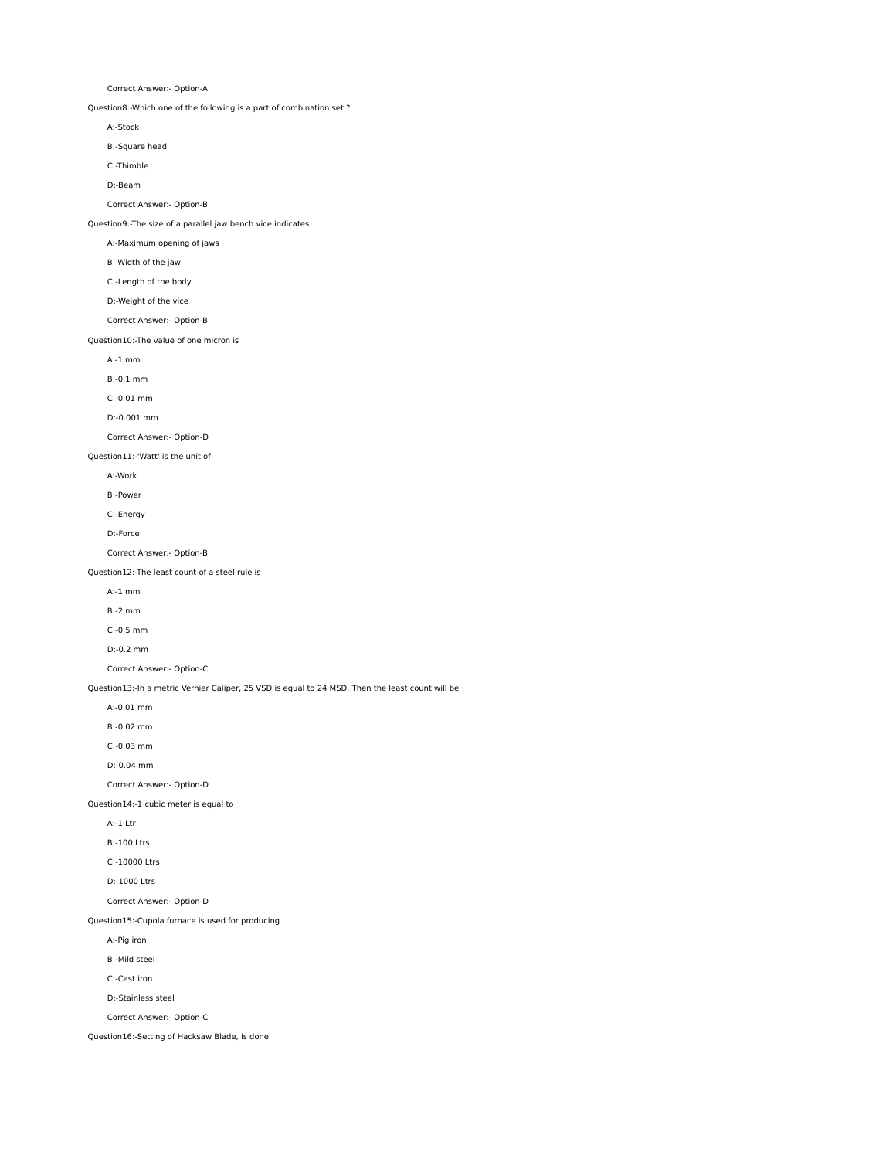Correct Answer:- Option-A

Question8:-Which one of the following is a part of combination set ?

A:-Stock

B:-Square head

C:-Thimble

D:-Beam

Correct Answer:- Option-B

Question9:-The size of a parallel jaw bench vice indicates

A:-Maximum opening of jaws

B:-Width of the jaw

C:-Length of the body

D:-Weight of the vice

Correct Answer:- Option-B

Question10:-The value of one micron is

A:-1 mm

B:-0.1 mm

C:-0.01 mm

D:-0.001 mm

Correct Answer:- Option-D

Question11:-'Watt' is the unit of

A:-Work

B:-Power

C:-Energy

D:-Force

Correct Answer:- Option-B

Question12:-The least count of a steel rule is

A:-1 mm

B:-2 mm

C:-0.5 mm

D:-0.2 mm

Correct Answer:- Option-C

Question13:-In a metric Vernier Caliper, 25 VSD is equal to 24 MSD. Then the least count will be

A:-0.01 mm

B:-0.02 mm

C:-0.03 mm

D:-0.04 mm

Correct Answer:- Option-D

Question14:-1 cubic meter is equal to

A:-1 Ltr

B:-100 Ltrs

C:-10000 Ltrs

D:-1000 Ltrs

Correct Answer:- Option-D

Question15:-Cupola furnace is used for producing

A:-Pig iron

B:-Mild steel

C:-Cast iron

D:-Stainless steel

Correct Answer:- Option-C

Question16:-Setting of Hacksaw Blade, is done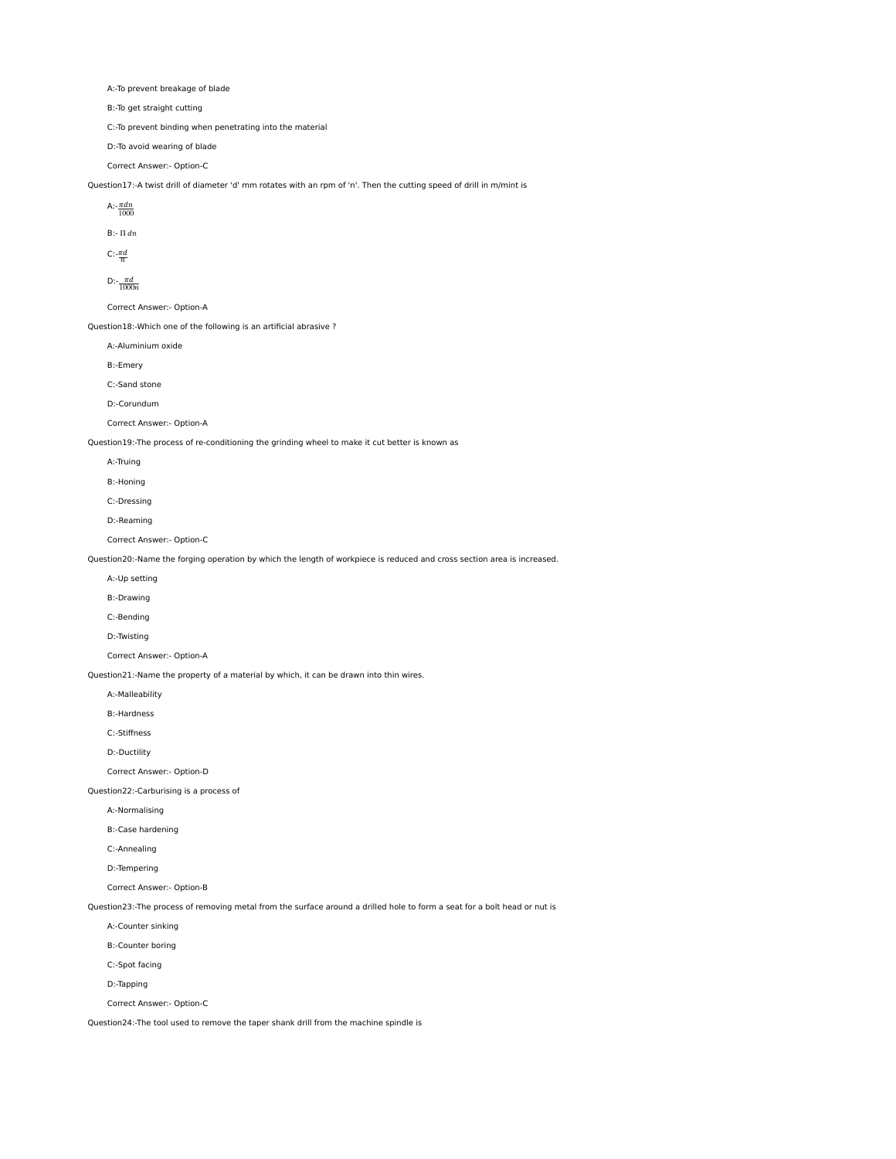A:-To prevent breakage of blade

B:-To get straight cutting

C:-To prevent binding when penetrating into the material

D:-To avoid wearing of blade

Correct Answer:- Option-C

Question17:-A twist drill of diameter 'd' mm rotates with an rpm of 'n'. Then the cutting speed of drill in m/mint is

A:- $\frac{\pi dn}{1000}$ 

B:- Π  $dn$ 

 $C:\frac{\pi d}{n}$ 

D:- $\frac{\pi d}{1000n}$ 

Correct Answer:- Option-A

Question18:-Which one of the following is an artificial abrasive ?

A:-Aluminium oxide

B:-Emery

C:-Sand stone

D:-Corundum

Correct Answer:- Option-A

Question19:-The process of re-conditioning the grinding wheel to make it cut better is known as

A:-Truing

B:-Honing

C:-Dressing

D:-Reaming

Correct Answer:- Option-C

Question20:-Name the forging operation by which the length of workpiece is reduced and cross section area is increased.

A:-Up setting

B:-Drawing

C:-Bending

D:-Twisting

Correct Answer:- Option-A

Question21:-Name the property of a material by which, it can be drawn into thin wires.

A:-Malleability

B:-Hardness

C:-Stiffness

D:-Ductility

Correct Answer:- Option-D

Question22:-Carburising is a process of

A:-Normalising

B:-Case hardening

C:-Annealing

D:-Tempering

Correct Answer:- Option-B

Question23:-The process of removing metal from the surface around a drilled hole to form a seat for a bolt head or nut is

A:-Counter sinking

B:-Counter boring

C:-Spot facing

D:-Tapping

Correct Answer:- Option-C

Question24:-The tool used to remove the taper shank drill from the machine spindle is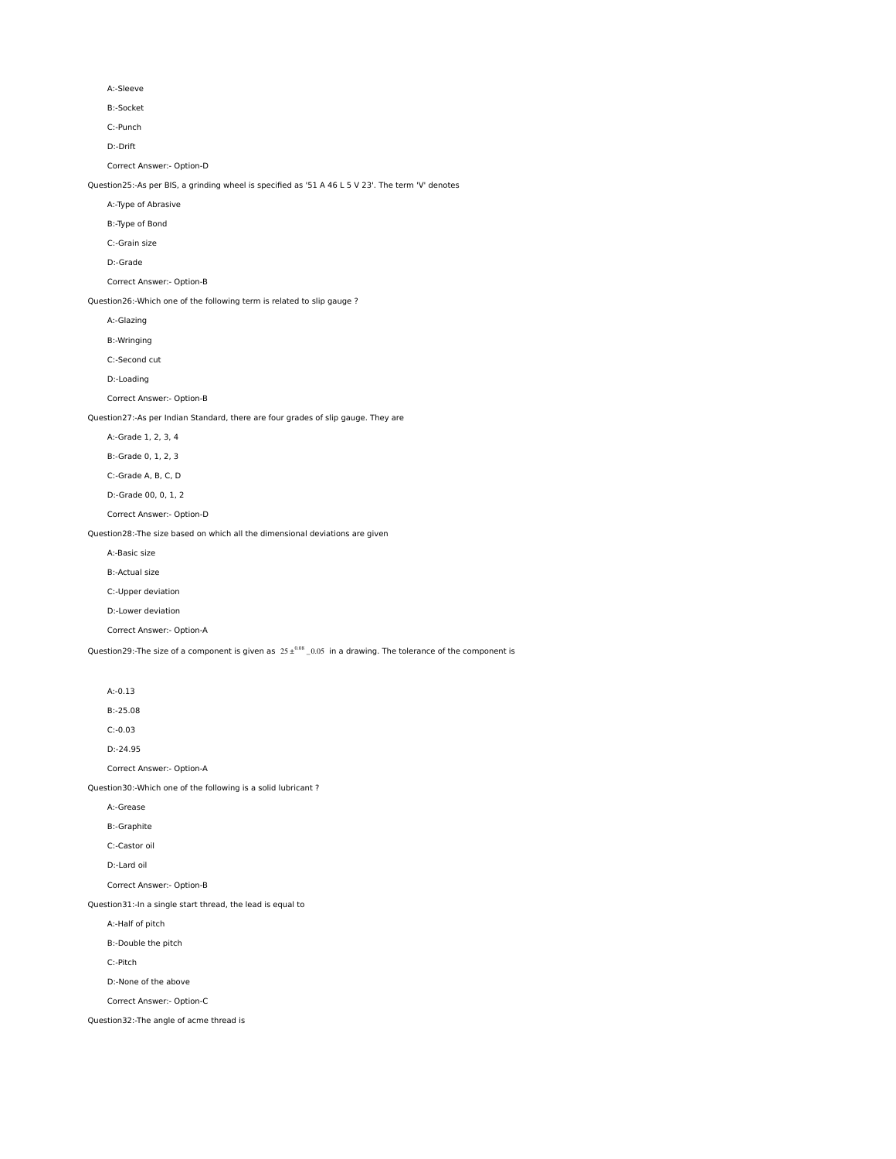A:-Sleeve

B:-Socket

C:-Punch

D:-Drift

Correct Answer:- Option-D

Question25:-As per BIS, a grinding wheel is specified as '51 A 46 L 5 V 23'. The term 'V' denotes

A:-Type of Abrasive

B:-Type of Bond

C:-Grain size

D:-Grade

Correct Answer:- Option-B

Question26:-Which one of the following term is related to slip gauge ?

A:-Glazing

B:-Wringing

C:-Second cut

D:-Loading

Correct Answer:- Option-B

Question27:-As per Indian Standard, there are four grades of slip gauge. They are

A:-Grade 1, 2, 3, 4

B:-Grade 0, 1, 2, 3

C:-Grade A, B, C, D

D:-Grade 00, 0, 1, 2

Correct Answer:- Option-D

Question28:-The size based on which all the dimensional deviations are given

A:-Basic size

B:-Actual size

C:-Upper deviation

D:-Lower deviation

Correct Answer:- Option-A

Question29:-The size of a component is given as  $25 \pm^{0.08}$  \_0.05 in a drawing. The tolerance of the component is

A:-0.13

B:-25.08

C:-0.03

D:-24.95

Correct Answer:- Option-A

Question30:-Which one of the following is a solid lubricant ?

A:-Grease

B:-Graphite

C:-Castor oil

D:-Lard oil

Correct Answer:- Option-B

Question31:-In a single start thread, the lead is equal to

A:-Half of pitch

B:-Double the pitch

C:-Pitch

D:-None of the above

Correct Answer:- Option-C

Question32:-The angle of acme thread is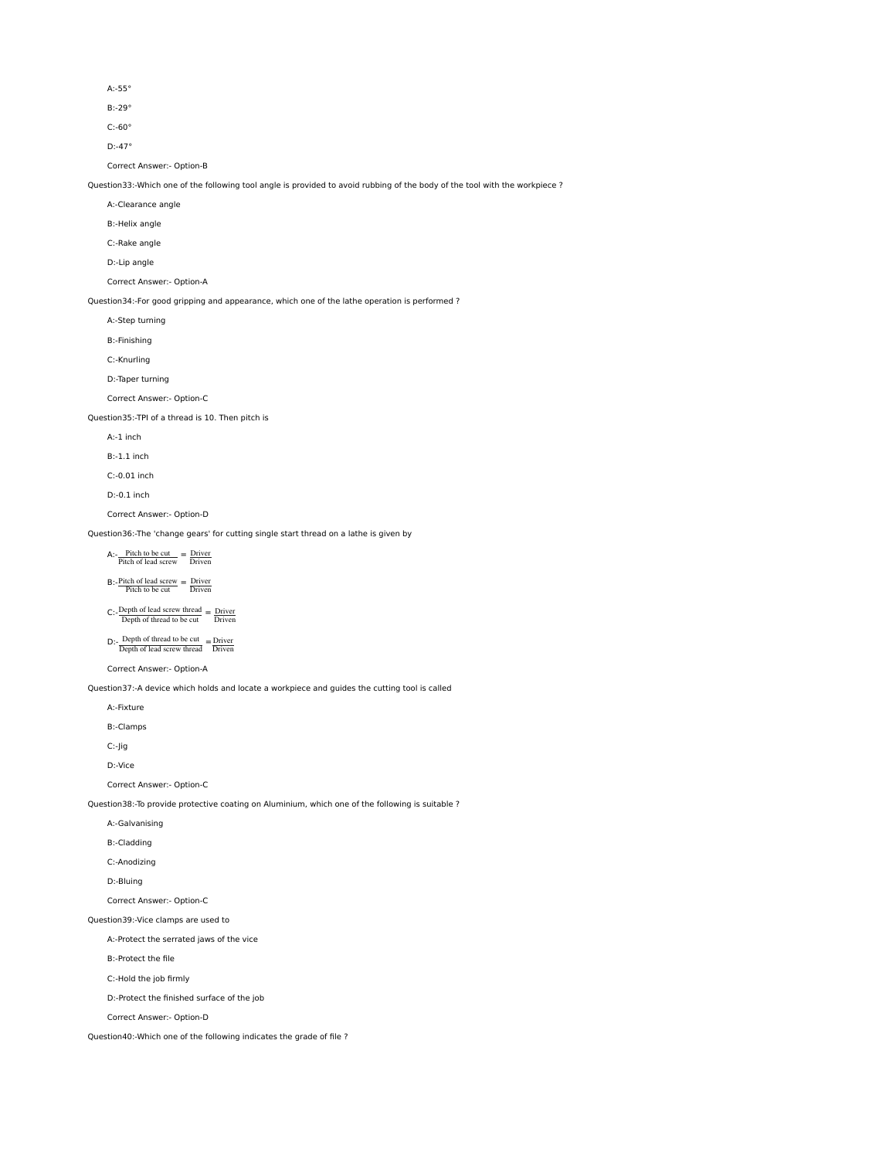A:-55°

B:-29°

C:-60°

D:-47°

Correct Answer:- Option-B

Question33:-Which one of the following tool angle is provided to avoid rubbing of the body of the tool with the workpiece ?

A:-Clearance angle

B:-Helix angle

C:-Rake angle

D:-Lip angle

Correct Answer:- Option-A

Question34:-For good gripping and appearance, which one of the lathe operation is performed ?

A:-Step turning

B:-Finishing

C:-Knurling

D:-Taper turning

Correct Answer:- Option-C

Question35:-TPI of a thread is 10. Then pitch is

A:-1 inch

B:-1.1 inch

C:-0.01 inch

D:-0.1 inch

Correct Answer:- Option-D

Question36:-The 'change gears' for cutting single start thread on a lathe is given by

 $A:$ - $Pitch to be cut \nPitch of lead screw$  = Driver

 $B:$ -Pitch of lead screw  $=$  Driver

 $C:$ -Depth of lead screw thread  $=$  Driver

 $D:$ - Depth of thread to be cut  $D$ - Driven

Correct Answer:- Option-A

Question37:-A device which holds and locate a workpiece and guides the cutting tool is called

A:-Fixture

B:-Clamps

C:-Jig

D:-Vice

Correct Answer:- Option-C

Question38:-To provide protective coating on Aluminium, which one of the following is suitable ?

A:-Galvanising

B:-Cladding

C:-Anodizing

D:-Bluing

Correct Answer:- Option-C

Question39:-Vice clamps are used to

A:-Protect the serrated jaws of the vice

B:-Protect the file

C:-Hold the job firmly

D:-Protect the finished surface of the job

Correct Answer:- Option-D

Question40:-Which one of the following indicates the grade of file ?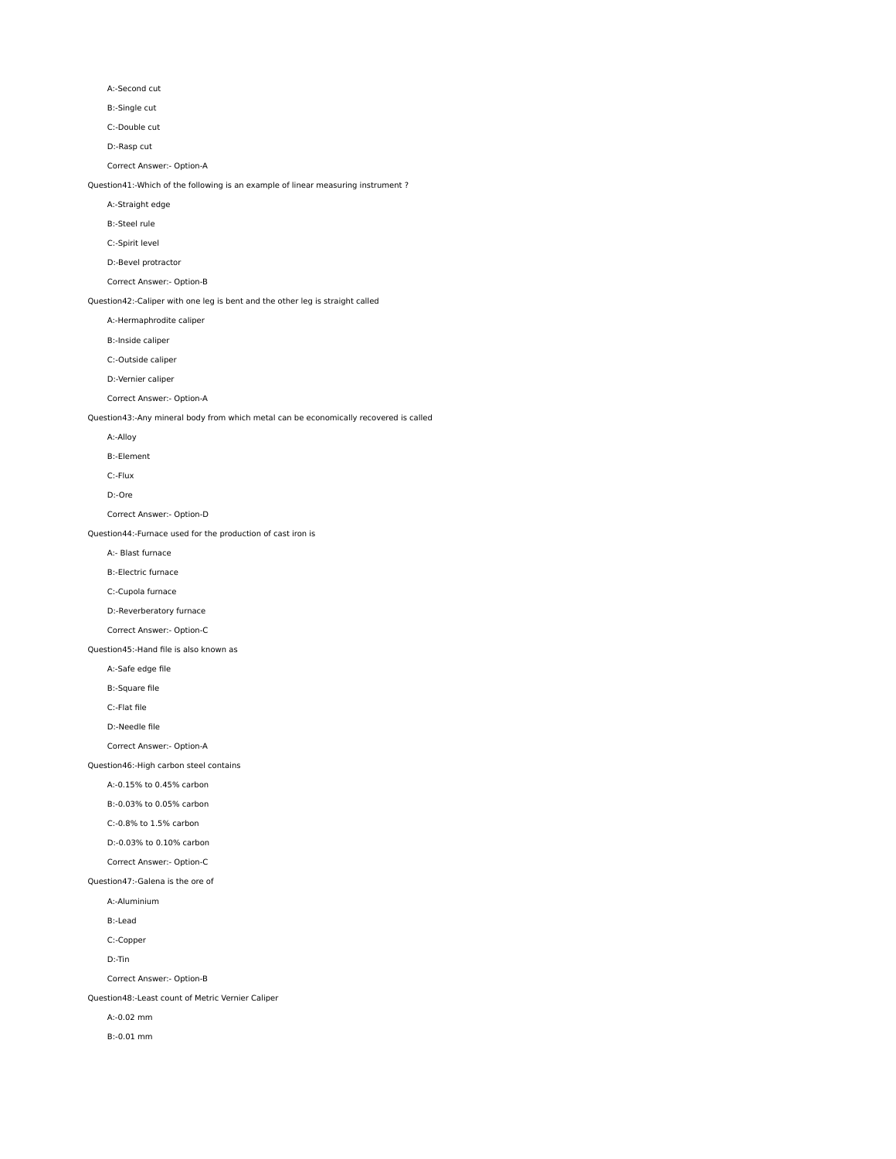A:-Second cut

B:-Single cut

C:-Double cut

D:-Rasp cut

Correct Answer:- Option-A

Question41:-Which of the following is an example of linear measuring instrument ?

A:-Straight edge

B:-Steel rule

C:-Spirit level

D:-Bevel protractor

Correct Answer:- Option-B

Question42:-Caliper with one leg is bent and the other leg is straight called

A:-Hermaphrodite caliper

B:-Inside caliper

C:-Outside caliper

D:-Vernier caliper

Correct Answer:- Option-A

Question43:-Any mineral body from which metal can be economically recovered is called

A:-Alloy

B:-Element

C:-Flux

D:-Ore

Correct Answer:- Option-D

Question44:-Furnace used for the production of cast iron is

A:- Blast furnace

B:-Electric furnace

C:-Cupola furnace

D:-Reverberatory furnace

Correct Answer:- Option-C

Question45:-Hand file is also known as

A:-Safe edge file

B:-Square file

C:-Flat file

D:-Needle file

Correct Answer:- Option-A

Question46:-High carbon steel contains

A:-0.15% to 0.45% carbon

B:-0.03% to 0.05% carbon

C:-0.8% to 1.5% carbon

D:-0.03% to 0.10% carbon

Correct Answer:- Option-C

#### Question47:-Galena is the ore of

A:-Aluminium

B:-Lead

C:-Copper

D:-Tin

Correct Answer:- Option-B

Question48:-Least count of Metric Vernier Caliper

A:-0.02 mm

B:-0.01 mm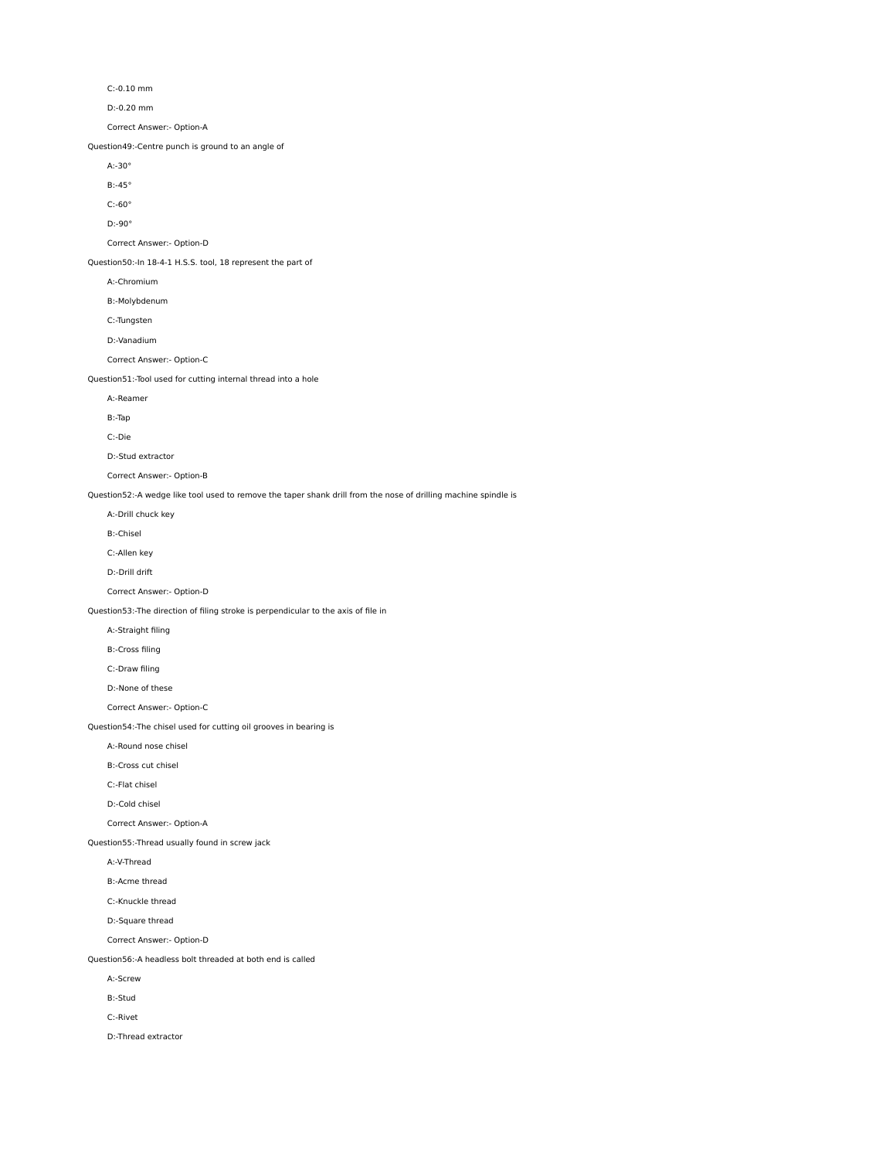C:-0.10 mm

D:-0.20 mm

Correct Answer:- Option-A

Question49:-Centre punch is ground to an angle of

A:-30°

B:-45°

C:-60°

D:-90°

Correct Answer:- Option-D

Question50:-In 18-4-1 H.S.S. tool, 18 represent the part of

A:-Chromium

B:-Molybdenum

C:-Tungsten

D:-Vanadium

Correct Answer:- Option-C

Question51:-Tool used for cutting internal thread into a hole

A:-Reamer

B:-Tap

C:-Die

D:-Stud extractor

Correct Answer:- Option-B

Question52:-A wedge like tool used to remove the taper shank drill from the nose of drilling machine spindle is

A:-Drill chuck key

B:-Chisel

C:-Allen key

D:-Drill drift

Correct Answer:- Option-D

Question53:-The direction of filing stroke is perpendicular to the axis of file in

A:-Straight filing

B:-Cross filing

C:-Draw filing

D:-None of these

Correct Answer:- Option-C

Question54:-The chisel used for cutting oil grooves in bearing is

A:-Round nose chisel

B:-Cross cut chisel

C:-Flat chisel

D:-Cold chisel

Correct Answer:- Option-A

Question55:-Thread usually found in screw jack

A:-V-Thread

B:-Acme thread

C:-Knuckle thread

D:-Square thread

Correct Answer:- Option-D

Question56:-A headless bolt threaded at both end is called

A:-Screw

B:-Stud

C:-Rivet

D:-Thread extractor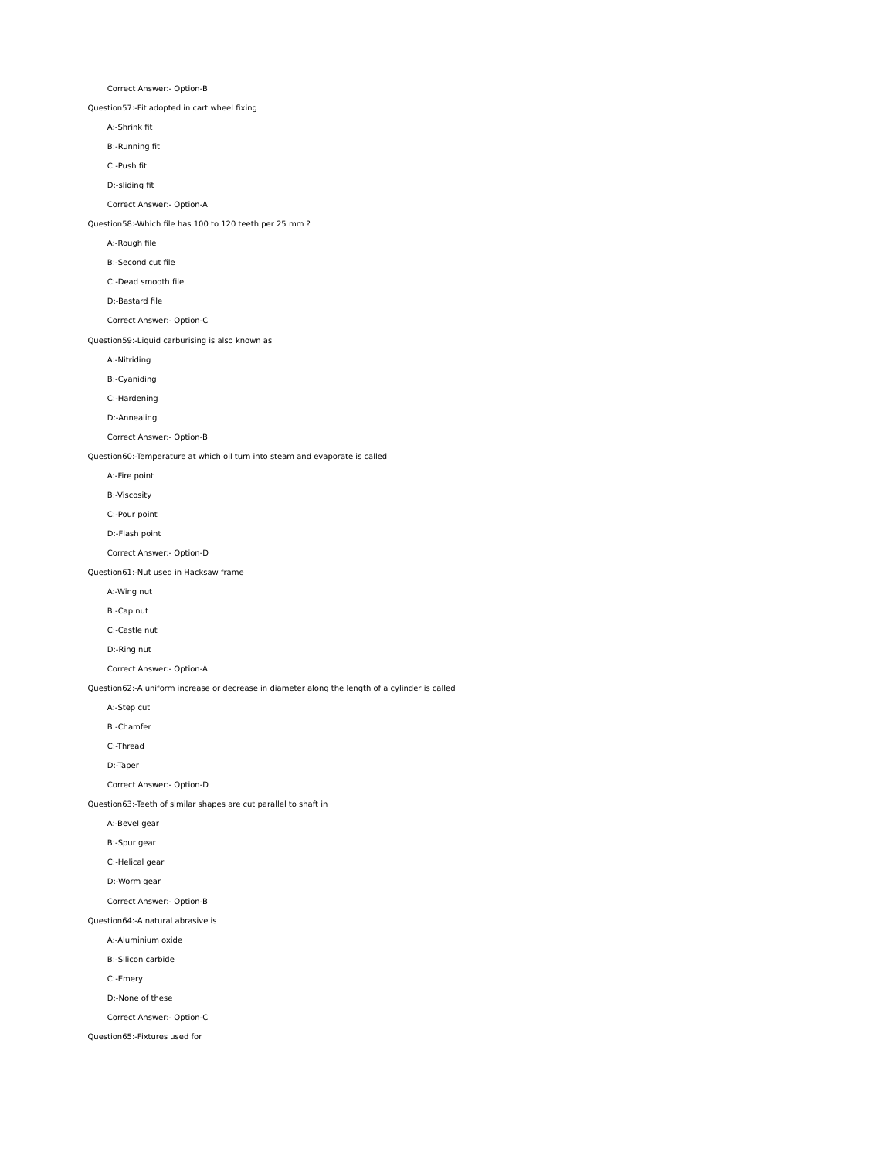Correct Answer:- Option-B

Question57:-Fit adopted in cart wheel fixing

A:-Shrink fit

B:-Running fit

C:-Push fit

D:-sliding fit

Correct Answer:- Option-A

## Question58:-Which file has 100 to 120 teeth per 25 mm ?

A:-Rough file

- B:-Second cut file
- C:-Dead smooth file

D:-Bastard file

Correct Answer:- Option-C

Question59:-Liquid carburising is also known as

A:-Nitriding

B:-Cyaniding

C:-Hardening

D:-Annealing

Correct Answer:- Option-B

Question60:-Temperature at which oil turn into steam and evaporate is called

A:-Fire point

B:-Viscosity

C:-Pour point

D:-Flash point

Correct Answer:- Option-D

Question61:-Nut used in Hacksaw frame

A:-Wing nut

B:-Cap nut

C:-Castle nut

D:-Ring nut

Correct Answer:- Option-A

Question62:-A uniform increase or decrease in diameter along the length of a cylinder is called

A:-Step cut

B:-Chamfer

C:-Thread

D:-Taper

Correct Answer:- Option-D

Question63:-Teeth of similar shapes are cut parallel to shaft in

A:-Bevel gear

B:-Spur gear

C:-Helical gear

D:-Worm gear

Correct Answer:- Option-B

Question64:-A natural abrasive is

A:-Aluminium oxide

B:-Silicon carbide

C:-Emery

D:-None of these

Correct Answer:- Option-C

Question65:-Fixtures used for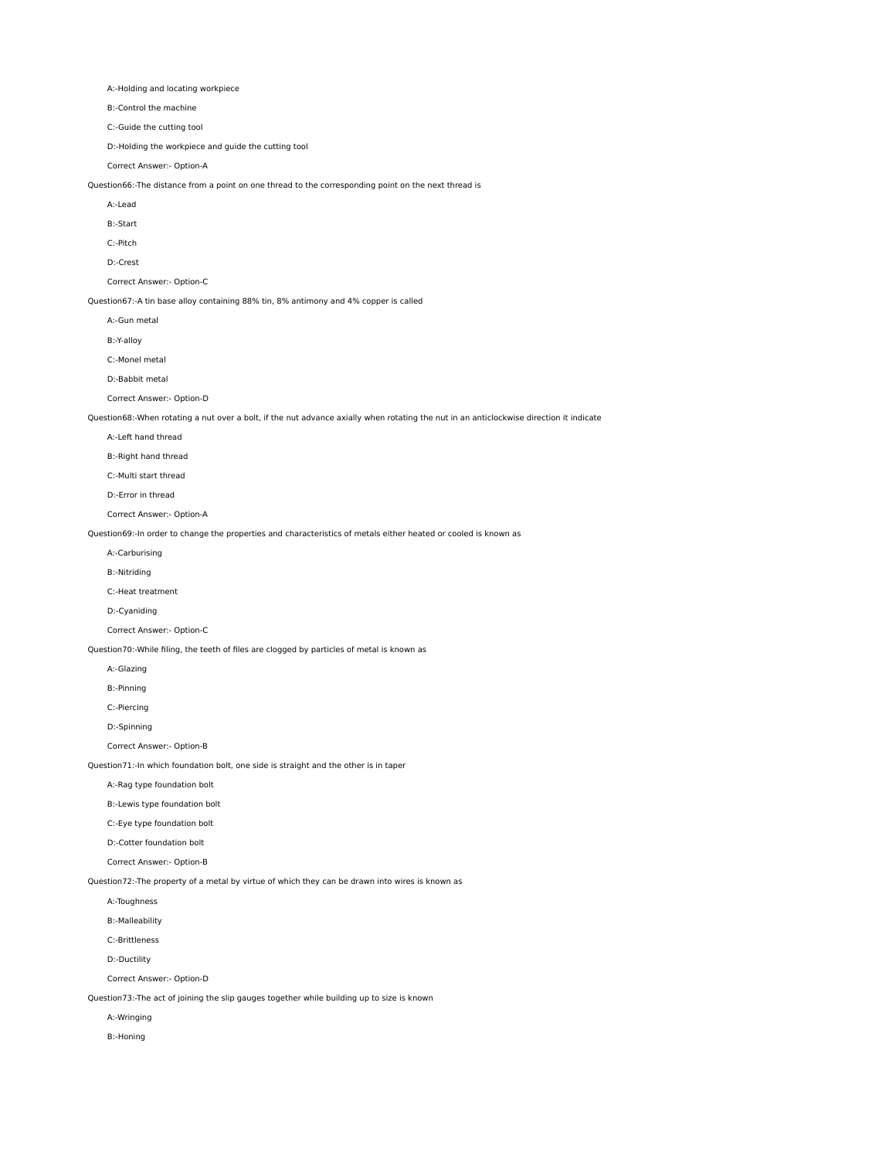A:-Holding and locating workpiece

B:-Control the machine

C:-Guide the cutting tool

D:-Holding the workpiece and guide the cutting tool

Correct Answer:- Option-A

Question66:-The distance from a point on one thread to the corresponding point on the next thread is

A:-Lead

B:-Start

C:-Pitch

D:-Crest

Correct Answer:- Option-C

Question67:-A tin base alloy containing 88% tin, 8% antimony and 4% copper is called

A:-Gun metal

B:-Y-alloy

C:-Monel metal

D:-Babbit metal

Correct Answer:- Option-D

Question68:-When rotating a nut over a bolt, if the nut advance axially when rotating the nut in an anticlockwise direction it indicate

A:-Left hand thread

B:-Right hand thread

C:-Multi start thread

D:-Error in thread

Correct Answer:- Option-A

Question69:-In order to change the properties and characteristics of metals either heated or cooled is known as

A:-Carburising

B:-Nitriding

C:-Heat treatment

D:-Cyaniding

Correct Answer:- Option-C

Question70:-While filing, the teeth of files are clogged by particles of metal is known as

A:-Glazing

B:-Pinning

C:-Piercing

D:-Spinning

Correct Answer:- Option-B

Question71:-In which foundation bolt, one side is straight and the other is in taper

A:-Rag type foundation bolt

B:-Lewis type foundation bolt

C:-Eye type foundation bolt

D:-Cotter foundation bolt

Correct Answer:- Option-B

Question72:-The property of a metal by virtue of which they can be drawn into wires is known as

A:-Toughness

B:-Malleability

C:-Brittleness

D:-Ductility

Correct Answer:- Option-D

Question73:-The act of joining the slip gauges together while building up to size is known

A:-Wringing

B:-Honing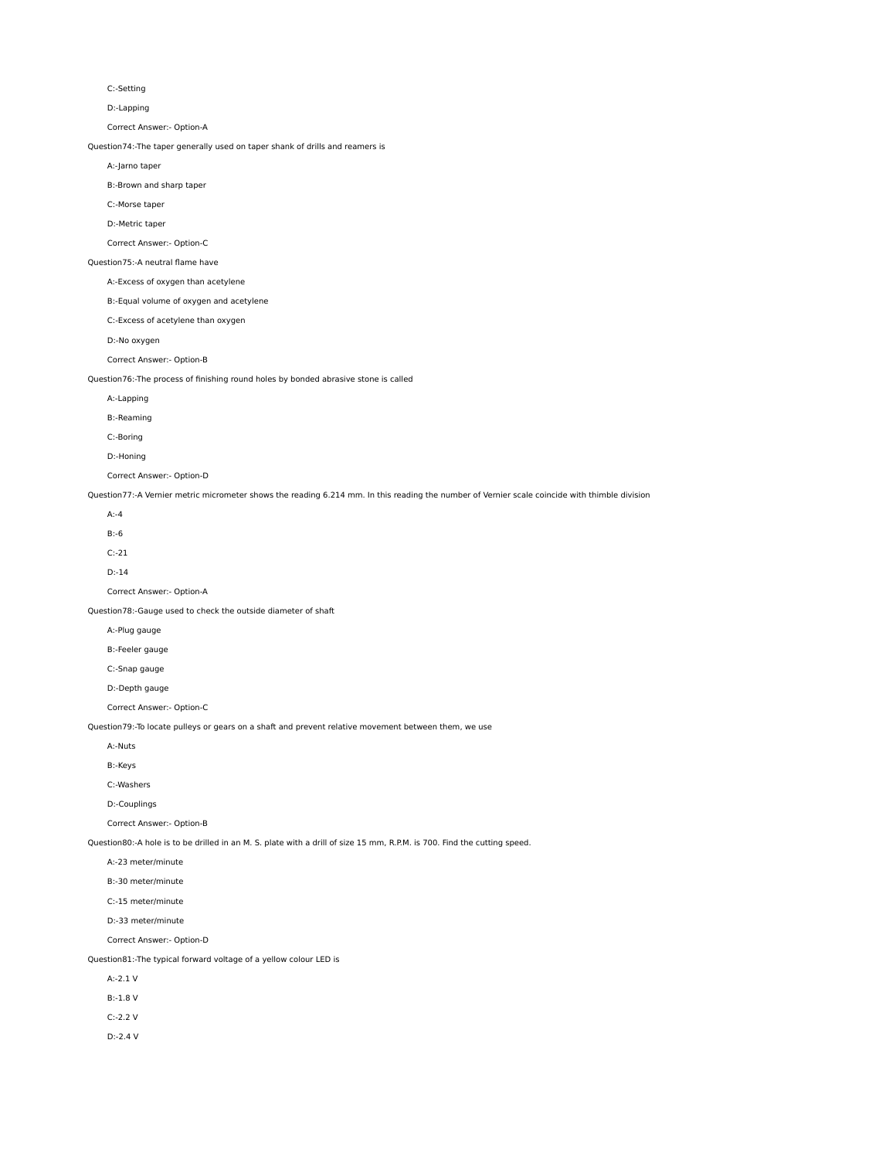C:-Setting

D:-Lapping

Correct Answer:- Option-A

Question74:-The taper generally used on taper shank of drills and reamers is

A:-Jarno taper

B:-Brown and sharp taper

C:-Morse taper

D:-Metric taper

Correct Answer:- Option-C

#### Question75:-A neutral flame have

A:-Excess of oxygen than acetylene

B:-Equal volume of oxygen and acetylene

C:-Excess of acetylene than oxygen

D:-No oxygen

Correct Answer:- Option-B

Question76:-The process of finishing round holes by bonded abrasive stone is called

A:-Lapping

B:-Reaming

C:-Boring

D:-Honing

Correct Answer:- Option-D

Question77:-A Vernier metric micrometer shows the reading 6.214 mm. In this reading the number of Vernier scale coincide with thimble division

A:-4

B:-6

C:-21

D:-14

Correct Answer:- Option-A

Question78:-Gauge used to check the outside diameter of shaft

A:-Plug gauge

B:-Feeler gauge

C:-Snap gauge

D:-Depth gauge

Correct Answer:- Option-C

Question79:-To locate pulleys or gears on a shaft and prevent relative movement between them, we use

A:-Nuts

B:-Keys

C:-Washers

D:-Couplings

Correct Answer:- Option-B

Question80:-A hole is to be drilled in an M. S. plate with a drill of size 15 mm, R.P.M. is 700. Find the cutting speed.

A:-23 meter/minute

B:-30 meter/minute

C:-15 meter/minute

D:-33 meter/minute

Correct Answer:- Option-D

Question81:-The typical forward voltage of a yellow colour LED is

A:-2.1 V

B:-1.8 V

C:-2.2 V

D:-2.4 V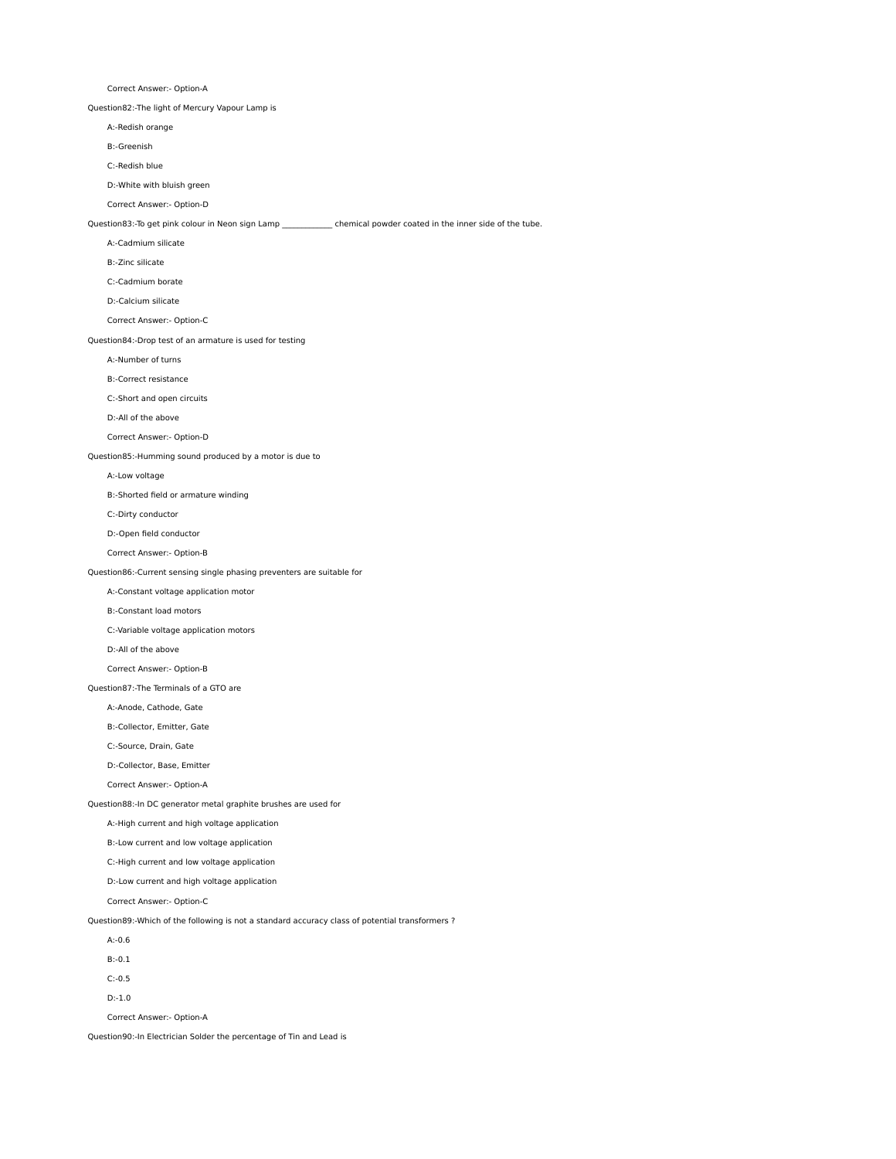Correct Answer:- Option-A

Question82:-The light of Mercury Vapour Lamp is

A:-Redish orange

B:-Greenish

C:-Redish blue

D:-White with bluish green

Correct Answer:- Option-D

Question83:-To get pink colour in Neon sign Lamp \_\_\_\_\_\_\_\_\_\_\_\_\_ chemical powder coated in the inner side of the tube.

A:-Cadmium silicate

B:-Zinc silicate

C:-Cadmium borate

D:-Calcium silicate

Correct Answer:- Option-C

Question84:-Drop test of an armature is used for testing

A:-Number of turns

B:-Correct resistance

C:-Short and open circuits

D:-All of the above

Correct Answer:- Option-D

Question85:-Humming sound produced by a motor is due to

A:-Low voltage

B:-Shorted field or armature winding

C:-Dirty conductor

D:-Open field conductor

Correct Answer:- Option-B

Question86:-Current sensing single phasing preventers are suitable for

A:-Constant voltage application motor

B:-Constant load motors

C:-Variable voltage application motors

D:-All of the above

Correct Answer:- Option-B

Question87:-The Terminals of a GTO are

A:-Anode, Cathode, Gate

B:-Collector, Emitter, Gate

C:-Source, Drain, Gate

D:-Collector, Base, Emitter

Correct Answer:- Option-A

Question88:-In DC generator metal graphite brushes are used for

A:-High current and high voltage application

B:-Low current and low voltage application

C:-High current and low voltage application

D:-Low current and high voltage application

Correct Answer:- Option-C

Question89:-Which of the following is not a standard accuracy class of potential transformers ?

A:-0.6

B:-0.1

C:-0.5

D:-1.0

Correct Answer:- Option-A

Question90:-In Electrician Solder the percentage of Tin and Lead is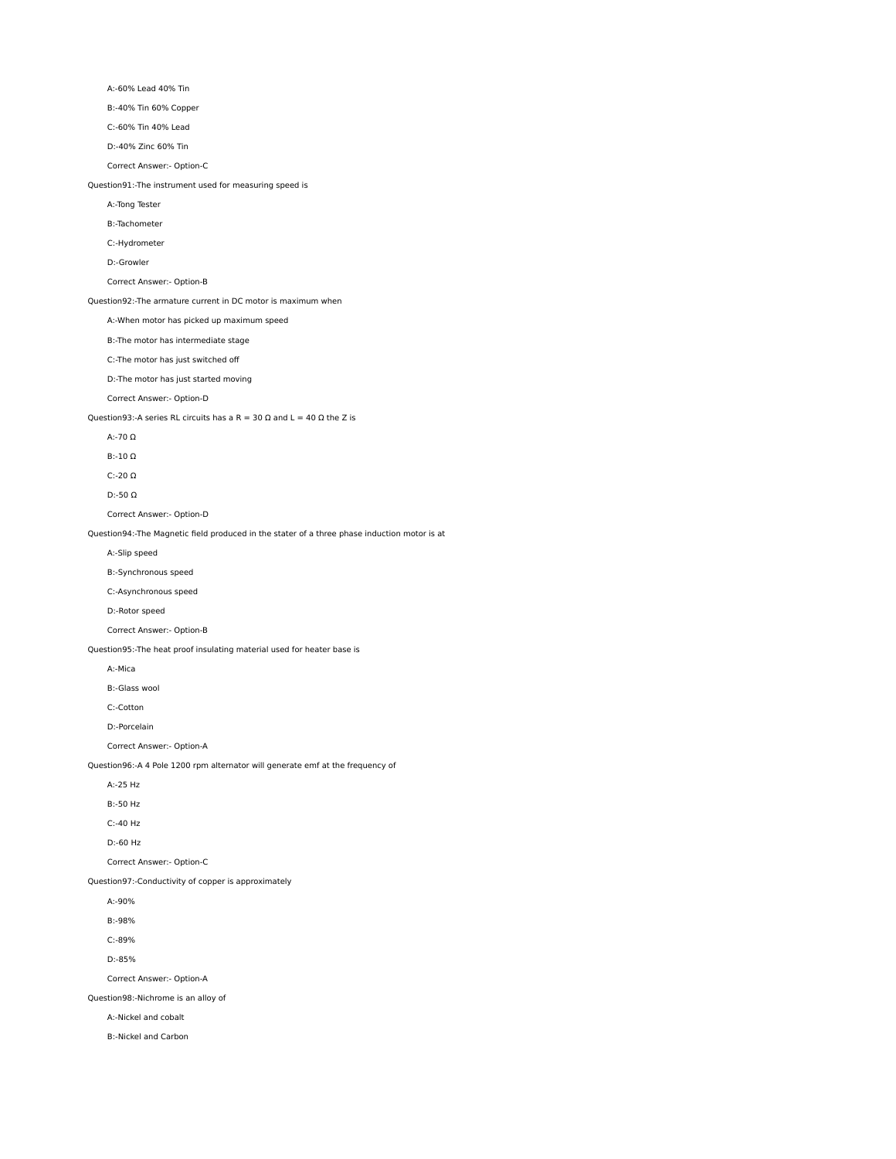A:-60% Lead 40% Tin

B:-40% Tin 60% Copper

C:-60% Tin 40% Lead

D:-40% Zinc 60% Tin

Correct Answer:- Option-C

Question91:-The instrument used for measuring speed is

A:-Tong Tester

B:-Tachometer

C:-Hydrometer

D:-Growler

## Correct Answer:- Option-B

Question92:-The armature current in DC motor is maximum when

A:-When motor has picked up maximum speed

B:-The motor has intermediate stage

C:-The motor has just switched off

D:-The motor has just started moving

Correct Answer:- Option-D

Question93:-A series RL circuits has a R = 30  $\Omega$  and L = 40  $\Omega$  the Z is

A:-70 Ω

B:-10 Ω

C:-20 Ω

D:-50 Ω

Correct Answer:- Option-D

Question94:-The Magnetic field produced in the stater of a three phase induction motor is at

A:-Slip speed

B:-Synchronous speed

C:-Asynchronous speed

D:-Rotor speed

Correct Answer:- Option-B

Question95:-The heat proof insulating material used for heater base is

A:-Mica

B:-Glass wool

C:-Cotton

D:-Porcelain

Correct Answer:- Option-A

Question96:-A 4 Pole 1200 rpm alternator will generate emf at the frequency of

A:-25 Hz

B:-50 Hz

C:-40 Hz

D:-60 Hz

Correct Answer:- Option-C

Question97:-Conductivity of copper is approximately

A:-90%

B:-98%

C:-89%

D:-85%

Correct Answer:- Option-A

Question98:-Nichrome is an alloy of

A:-Nickel and cobalt

B:-Nickel and Carbon